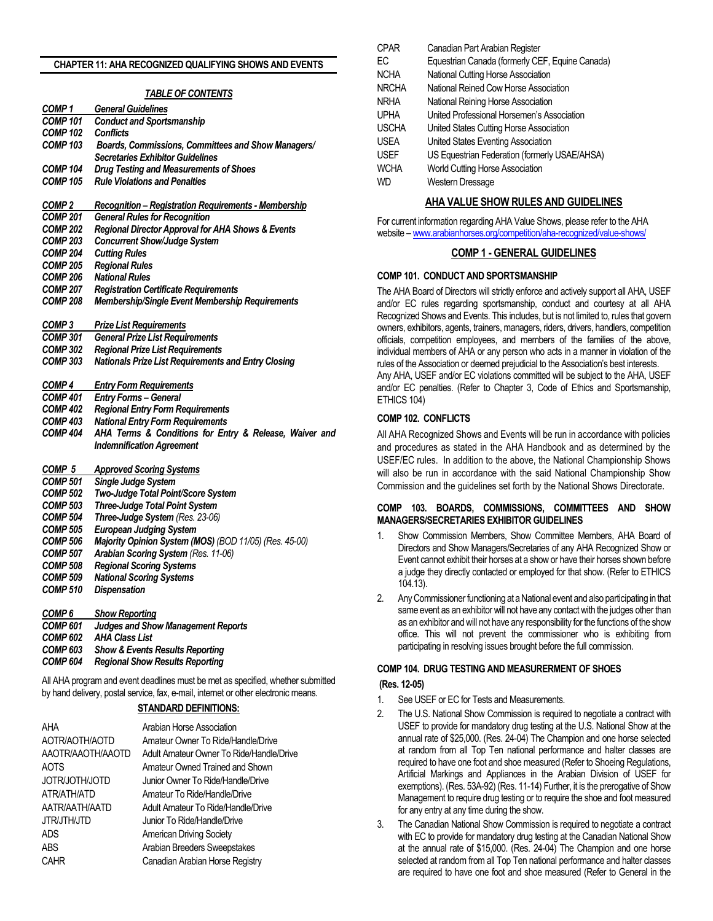### **CHAPTER 11: AHA RECOGNIZED QUALIFYING SHOWS AND EVENTS**

| <b>TABLE OF CONTENTS</b>                                                          |                                                            |  |  |  |
|-----------------------------------------------------------------------------------|------------------------------------------------------------|--|--|--|
| <u>COMP 1</u>                                                                     | <b>General Guidelines</b>                                  |  |  |  |
| <b>COMP 101</b>                                                                   | <b>Conduct and Sportsmanship</b>                           |  |  |  |
| <b>COMP 102</b>                                                                   | <b>Conflicts</b>                                           |  |  |  |
| <b>COMP 103</b>                                                                   | Boards, Commissions, Committees and Show Managers/         |  |  |  |
|                                                                                   | <b>Secretaries Exhibitor Guidelines</b>                    |  |  |  |
| <b>COMP 104</b>                                                                   | <b>Drug Testing and Measurements of Shoes</b>              |  |  |  |
| <b>COMP 105</b>                                                                   | <b>Rule Violations and Penalties</b>                       |  |  |  |
|                                                                                   |                                                            |  |  |  |
| COMP <sub>2</sub>                                                                 | Recognition – Registration Requirements - Membership       |  |  |  |
| <b>COMP 201</b>                                                                   | <b>General Rules for Recognition</b>                       |  |  |  |
| <b>COMP 202</b>                                                                   | Regional Director Approval for AHA Shows & Events          |  |  |  |
| <b>COMP 203</b>                                                                   | <b>Concurrent Show/Judge System</b>                        |  |  |  |
| COMP 204                                                                          | <b>Cutting Rules</b>                                       |  |  |  |
| <b>COMP 205</b>                                                                   | <b>Regional Rules</b>                                      |  |  |  |
| <b>COMP 206</b>                                                                   | <b>National Rules</b>                                      |  |  |  |
| <b>COMP 207</b>                                                                   | <b>Registration Certificate Requirements</b>               |  |  |  |
| <b>COMP 208</b>                                                                   | Membership/Single Event Membership Requirements            |  |  |  |
|                                                                                   |                                                            |  |  |  |
| <u>COMP 3</u>                                                                     | <b>Prize List Requirements</b>                             |  |  |  |
| COMP 301                                                                          | <b>General Prize List Requirements</b>                     |  |  |  |
| <b>COMP 302</b>                                                                   | <b>Regional Prize List Requirements</b>                    |  |  |  |
| <b>COMP 303</b>                                                                   | <b>Nationals Prize List Requirements and Entry Closing</b> |  |  |  |
|                                                                                   |                                                            |  |  |  |
| <u>COMP 4</u>                                                                     | <b>Entry Form Requirements</b>                             |  |  |  |
| <b>COMP 401</b>                                                                   | <b>Entry Forms - General</b>                               |  |  |  |
| <b>COMP 402</b>                                                                   | <b>Regional Entry Form Requirements</b>                    |  |  |  |
| <b>COMP 403</b>                                                                   | <b>National Entry Form Requirements</b>                    |  |  |  |
| <b>COMP 404</b>                                                                   | AHA Terms & Conditions for Entry & Release, Waiver and     |  |  |  |
|                                                                                   | <b>Indemnification Agreement</b>                           |  |  |  |
| COMP 5                                                                            | <b>Approved Scoring Systems</b>                            |  |  |  |
| <b>COMP 501</b>                                                                   | Single Judge System                                        |  |  |  |
| <b>COMP 502</b>                                                                   | Two-Judge Total Point/Score System                         |  |  |  |
| <b>COMP 503</b>                                                                   | <b>Three-Judge Total Point System</b>                      |  |  |  |
| <b>COMP 504</b>                                                                   | Three-Judge System (Res. 23-06)                            |  |  |  |
| <b>COMP 505</b>                                                                   | <b>European Judging System</b>                             |  |  |  |
| <b>COMP 506</b>                                                                   | Majority Opinion System (MOS) (BOD 11/05) (Res. 45-00)     |  |  |  |
| <b>COMP 507</b>                                                                   | Arabian Scoring System (Res. 11-06)                        |  |  |  |
| <b>COMP 508</b>                                                                   | <b>Regional Scoring Systems</b>                            |  |  |  |
| <b>COMP 509</b>                                                                   | <b>National Scoring Systems</b>                            |  |  |  |
| <b>COMP 510</b>                                                                   | <b>Dispensation</b>                                        |  |  |  |
|                                                                                   |                                                            |  |  |  |
| COMP <sub>6</sub>                                                                 | <b>Show Reporting</b>                                      |  |  |  |
| COMP 601                                                                          | <b>Judges and Show Management Reports</b>                  |  |  |  |
| <b>COMP 602</b>                                                                   | <b>AHA Class List</b>                                      |  |  |  |
| <b>COMP 603</b>                                                                   | <b>Show &amp; Events Results Reporting</b>                 |  |  |  |
| <b>COMP 604</b>                                                                   | <b>Regional Show Results Reporting</b>                     |  |  |  |
| All ALIA program and overt deadlines must be mot as appelified whather outpolited |                                                            |  |  |  |

All AHA program and event deadlines must be met as specified, whether submitted by hand delivery, postal service, fax, e-mail, internet or other electronic means.

## **STANDARD DEFINITIONS:**

| Arabian Horse Association                |
|------------------------------------------|
| Amateur Owner To Ride/Handle/Drive       |
| Adult Amateur Owner To Ride/Handle/Drive |
| Amateur Owned Trained and Shown          |
| Junior Owner To Ride/Handle/Drive        |
| Amateur To Ride/Handle/Drive             |
| Adult Amateur To Ride/Handle/Drive       |
| Junior To Ride/Handle/Drive              |
| <b>American Driving Society</b>          |
| Arabian Breeders Sweepstakes             |
| Canadian Arabian Horse Registry          |
|                                          |

| <b>CPAR</b>  | Canadian Part Arabian Register                  |
|--------------|-------------------------------------------------|
| EC           | Equestrian Canada (formerly CEF, Equine Canada) |
| <b>NCHA</b>  | National Cutting Horse Association              |
| <b>NRCHA</b> | National Reined Cow Horse Association           |
| <b>NRHA</b>  | National Reining Horse Association              |
| UPHA         | United Professional Horsemen's Association      |
| <b>USCHA</b> | United States Cutting Horse Association         |
| <b>USEA</b>  | United States Eventing Association              |
| USEF         | US Equestrian Federation (formerly USAE/AHSA)   |
| <b>WCHA</b>  | World Cutting Horse Association                 |
| WD           | Western Dressage                                |

### **AHA VALUE SHOW RULES AND GUIDELINES**

For current information regarding AHA Value Shows, please refer to the AHA website – [www.arabianhorses.org/competition/aha-recognized/value-shows/](http://www.arabianhorses.org/competition/aha-recognized/value-shows/)

### **COMP 1 - GENERAL GUIDELINES**

### **COMP 101. CONDUCT AND SPORTSMANSHIP**

The AHA Board of Directors will strictly enforce and actively support all AHA, USEF and/or EC rules regarding sportsmanship, conduct and courtesy at all AHA Recognized Shows and Events. This includes, but is not limited to, rules that govern owners, exhibitors, agents, trainers, managers, riders, drivers, handlers, competition officials, competition employees, and members of the families of the above, individual members of AHA or any person who acts in a manner in violation of the rules of the Association or deemed prejudicial to the Association's best interests. Any AHA, USEF and/or EC violations committed will be subject to the AHA, USEF and/or EC penalties. (Refer to Chapter 3, Code of Ethics and Sportsmanship, ETHICS 104)

### **COMP 102. CONFLICTS**

All AHA Recognized Shows and Events will be run in accordance with policies and procedures as stated in the AHA Handbook and as determined by the USEF/EC rules. In addition to the above, the National Championship Shows will also be run in accordance with the said National Championship Show Commission and the guidelines set forth by the National Shows Directorate.

### **COMP 103. BOARDS, COMMISSIONS, COMMITTEES AND SHOW MANAGERS/SECRETARIES EXHIBITOR GUIDELINES**

- 1. Show Commission Members, Show Committee Members, AHA Board of Directors and Show Managers/Secretaries of any AHA Recognized Show or Event cannot exhibit their horses at a show or have their horses shown before a judge they directly contacted or employed for that show. (Refer to ETHICS 104.13).
- 2. Any Commissioner functioning at a National event and also participating in that same event as an exhibitor will not have any contact with the judges other than as an exhibitor and will not have any responsibility for the functions of the show office. This will not prevent the commissioner who is exhibiting from participating in resolving issues brought before the full commission.

## **COMP 104. DRUG TESTING AND MEASURERMENT OF SHOES**

### **(Res. 12-05)**

- 1. See USEF or EC for Tests and Measurements.
- 2. The U.S. National Show Commission is required to negotiate a contract with USEF to provide for mandatory drug testing at the U.S. National Show at the annual rate of \$25,000. (Res. 24-04) The Champion and one horse selected at random from all Top Ten national performance and halter classes are required to have one foot and shoe measured (Refer to Shoeing Regulations, Artificial Markings and Appliances in the Arabian Division of USEF for exemptions). (Res. 53A-92) (Res. 11-14) Further, it is the prerogative of Show Management to require drug testing or to require the shoe and foot measured for any entry at any time during the show.
- 3. The Canadian National Show Commission is required to negotiate a contract with EC to provide for mandatory drug testing at the Canadian National Show at the annual rate of \$15,000. (Res. 24-04) The Champion and one horse selected at random from all Top Ten national performance and halter classes are required to have one foot and shoe measured (Refer to General in the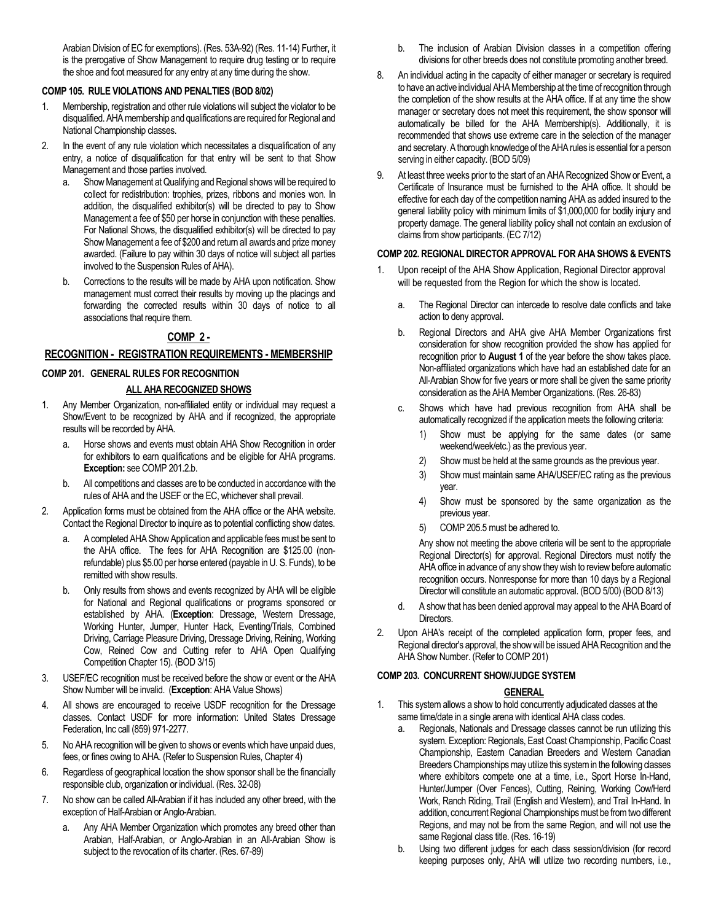Arabian Division of EC for exemptions). (Res. 53A-92) (Res. 11-14) Further, it is the prerogative of Show Management to require drug testing or to require the shoe and foot measured for any entry at any time during the show.

## **COMP 105. RULE VIOLATIONS AND PENALTIES (BOD 8/02)**

- 1. Membership, registration and other rule violations will subject the violator to be disqualified. AHA membership and qualifications are required for Regional and National Championship classes.
- 2. In the event of any rule violation which necessitates a disqualification of any entry, a notice of disqualification for that entry will be sent to that Show Management and those parties involved.
	- a. Show Management at Qualifying and Regional shows will be required to collect for redistribution: trophies, prizes, ribbons and monies won. In addition, the disqualified exhibitor(s) will be directed to pay to Show Management a fee of \$50 per horse in conjunction with these penalties. For National Shows, the disqualified exhibitor(s) will be directed to pay Show Management a fee of \$200 and return all awards and prize money awarded. (Failure to pay within 30 days of notice will subject all parties involved to the Suspension Rules of AHA).
	- b. Corrections to the results will be made by AHA upon notification. Show management must correct their results by moving up the placings and forwarding the corrected results within 30 days of notice to all associations that require them.

## **COMP 2 -**

### **RECOGNITION - REGISTRATION REQUIREMENTS - MEMBERSHIP**

### **COMP 201. GENERAL RULES FOR RECOGNITION**

### **ALL AHA RECOGNIZED SHOWS**

- 1. Any Member Organization, non-affiliated entity or individual may request a Show/Event to be recognized by AHA and if recognized, the appropriate results will be recorded by AHA.
	- a. Horse shows and events must obtain AHA Show Recognition in order for exhibitors to earn qualifications and be eligible for AHA programs. **Exception:** see COMP 201.2.b.
	- b. All competitions and classes are to be conducted in accordance with the rules of AHA and the USEF or the EC, whichever shall prevail.
- 2. Application forms must be obtained from the AHA office or the AHA website. Contact the Regional Director to inquire as to potential conflicting show dates.
	- a. A completed AHA Show Application and applicable fees must be sent to the AHA office. The fees for AHA Recognition are \$125.00 (nonrefundable) plus \$5.00 per horse entered (payable in U. S. Funds), to be remitted with show results.
	- b. Only results from shows and events recognized by AHA will be eligible for National and Regional qualifications or programs sponsored or established by AHA. (**Exception**: Dressage, Western Dressage, Working Hunter, Jumper, Hunter Hack, Eventing/Trials, Combined Driving, Carriage Pleasure Driving, Dressage Driving, Reining, Working Cow, Reined Cow and Cutting refer to AHA Open Qualifying Competition Chapter 15). (BOD 3/15)
- 3. USEF/EC recognition must be received before the show or event or the AHA Show Number will be invalid. (**Exception**: AHA Value Shows)
- 4. All shows are encouraged to receive USDF recognition for the Dressage classes. Contact USDF for more information: United States Dressage Federation, Inc call (859) 971-2277.
- 5. No AHA recognition will be given to shows or events which have unpaid dues, fees, or fines owing to AHA. (Refer to Suspension Rules, Chapter 4)
- 6. Regardless of geographical location the show sponsor shall be the financially responsible club, organization or individual. (Res. 32-08)
- 7. No show can be called All-Arabian if it has included any other breed, with the exception of Half-Arabian or Anglo-Arabian.
	- a. Any AHA Member Organization which promotes any breed other than Arabian, Half-Arabian, or Anglo-Arabian in an All-Arabian Show is subject to the revocation of its charter. (Res. 67-89)
- b. The inclusion of Arabian Division classes in a competition offering divisions for other breeds does not constitute promoting another breed.
- 8. An individual acting in the capacity of either manager or secretary is required to have an active individual AHA Membership at the time of recognition through the completion of the show results at the AHA office. If at any time the show manager or secretary does not meet this requirement, the show sponsor will automatically be billed for the AHA Membership(s). Additionally, it is recommended that shows use extreme care in the selection of the manager and secretary. A thorough knowledge of the AHA rules is essential for a person serving in either capacity. (BOD 5/09)
- 9. At least three weeks prior to the start of an AHA Recognized Show or Event, a Certificate of Insurance must be furnished to the AHA office. It should be effective for each day of the competition naming AHA as added insured to the general liability policy with minimum limits of \$1,000,000 for bodily injury and property damage. The general liability policy shall not contain an exclusion of claims from show participants. (EC 7/12)

### **COMP 202. REGIONAL DIRECTOR APPROVAL FOR AHA SHOWS & EVENTS**

- 1. Upon receipt of the AHA Show Application, Regional Director approval will be requested from the Region for which the show is located.
	- a. The Regional Director can intercede to resolve date conflicts and take action to deny approval.
	- b. Regional Directors and AHA give AHA Member Organizations first consideration for show recognition provided the show has applied for recognition prior to **August 1** of the year before the show takes place. Non-affiliated organizations which have had an established date for an All-Arabian Show for five years or more shall be given the same priority consideration as the AHA Member Organizations. (Res. 26-83)
	- c. Shows which have had previous recognition from AHA shall be automatically recognized if the application meets the following criteria:
		- 1) Show must be applying for the same dates (or same weekend/week/etc.) as the previous year.
		- 2) Show must be held at the same grounds as the previous year.
		- 3) Show must maintain same AHA/USEF/EC rating as the previous year.
		- 4) Show must be sponsored by the same organization as the previous year.
		- 5) COMP 205.5 must be adhered to.

Any show not meeting the above criteria will be sent to the appropriate Regional Director(s) for approval. Regional Directors must notify the AHA office in advance of any show they wish to review before automatic recognition occurs. Nonresponse for more than 10 days by a Regional Director will constitute an automatic approval. (BOD 5/00) (BOD 8/13)

- d. A show that has been denied approval may appeal to the AHA Board of **Directors**
- 2. Upon AHA's receipt of the completed application form, proper fees, and Regional director's approval, the show will be issued AHA Recognition and the AHA Show Number. (Refer to COMP 201)

### **COMP 203. CONCURRENT SHOW/JUDGE SYSTEM**

### **GENERAL**

- 1. This system allows a show to hold concurrently adjudicated classes at the same time/date in a single arena with identical AHA class codes.
	- a. Regionals, Nationals and Dressage classes cannot be run utilizing this system. Exception: Regionals, East Coast Championship, Pacific Coast Championship, Eastern Canadian Breeders and Western Canadian Breeders Championships may utilize this system in the following classes where exhibitors compete one at a time, i.e., Sport Horse In-Hand, Hunter/Jumper (Over Fences), Cutting, Reining, Working Cow/Herd Work, Ranch Riding, Trail (English and Western), and Trail In-Hand. In addition, concurrent Regional Championships must be from two different Regions, and may not be from the same Region, and will not use the same Regional class title. (Res. 16-19)
	- b. Using two different judges for each class session/division (for record keeping purposes only, AHA will utilize two recording numbers, i.e.,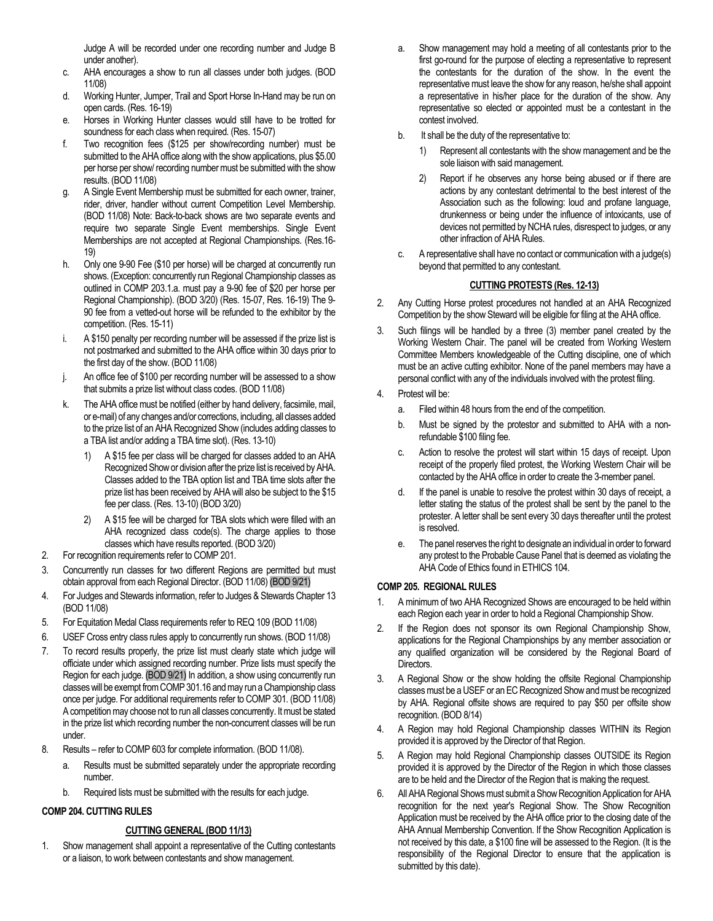Judge A will be recorded under one recording number and Judge B under another).

- c. AHA encourages a show to run all classes under both judges. (BOD 11/08)
- d. Working Hunter, Jumper, Trail and Sport Horse In-Hand may be run on open cards. (Res. 16-19)
- e. Horses in Working Hunter classes would still have to be trotted for soundness for each class when required. (Res. 15-07)
- f. Two recognition fees (\$125 per show/recording number) must be submitted to the AHA office along with the show applications, plus \$5.00 per horse per show/ recording number must be submitted with the show results. (BOD 11/08)
- A Single Event Membership must be submitted for each owner, trainer, rider, driver, handler without current Competition Level Membership. (BOD 11/08) Note: Back-to-back shows are two separate events and require two separate Single Event memberships. Single Event Memberships are not accepted at Regional Championships. (Res.16- 19)
- h. Only one 9-90 Fee (\$10 per horse) will be charged at concurrently run shows. (Exception: concurrently run Regional Championship classes as outlined in COMP 203.1.a. must pay a 9-90 fee of \$20 per horse per Regional Championship). (BOD 3/20) (Res. 15-07, Res. 16-19) The 9- 90 fee from a vetted-out horse will be refunded to the exhibitor by the competition. (Res. 15-11)
- i. A \$150 penalty per recording number will be assessed if the prize list is not postmarked and submitted to the AHA office within 30 days prior to the first day of the show. (BOD 11/08)
- j. An office fee of \$100 per recording number will be assessed to a show that submits a prize list without class codes. (BOD 11/08)
- k. The AHA office must be notified (either by hand delivery, facsimile, mail, or e-mail) of any changes and/or corrections, including, all classes added to the prize list of an AHA Recognized Show (includes adding classes to a TBA list and/or adding a TBA time slot). (Res. 13-10)
	- 1) A \$15 fee per class will be charged for classes added to an AHA Recognized Show or division after the prize list is received by AHA. Classes added to the TBA option list and TBA time slots after the prize list has been received by AHA will also be subject to the \$15 fee per class. (Res. 13-10) (BOD 3/20)
	- 2) A \$15 fee will be charged for TBA slots which were filled with an AHA recognized class code(s). The charge applies to those classes which have results reported. (BOD 3/20)
- 2. For recognition requirements refer to COMP 201.
- 3. Concurrently run classes for two different Regions are permitted but must obtain approval from each Regional Director. (BOD 11/08) (BOD 9/21)
- 4. For Judges and Stewards information, refer to Judges & Stewards Chapter 13 (BOD 11/08)
- 5. For Equitation Medal Class requirements refer to REQ 109 (BOD 11/08)
- 6. USEF Cross entry class rules apply to concurrently run shows. (BOD 11/08)
- 7. To record results properly, the prize list must clearly state which judge will officiate under which assigned recording number. Prize lists must specify the Region for each judge. (BOD 9/21) In addition, a show using concurrently run classes will be exempt from COMP 301.16 and may run a Championship class once per judge. For additional requirements refer to COMP 301. (BOD 11/08) A competition may choose not to run all classes concurrently. It must be stated in the prize list which recording number the non-concurrent classes will be run under.
- 8. Results refer to COMP 603 for complete information. (BOD 11/08).
	- a. Results must be submitted separately under the appropriate recording number.
	- b. Required lists must be submitted with the results for each judge.

## **COMP 204. CUTTING RULES**

### **CUTTING GENERAL (BOD 11/13)**

1. Show management shall appoint a representative of the Cutting contestants or a liaison, to work between contestants and show management.

- a. Show management may hold a meeting of all contestants prior to the first go-round for the purpose of electing a representative to represent the contestants for the duration of the show. In the event the representative must leave the show for any reason, he/she shall appoint a representative in his/her place for the duration of the show. Any representative so elected or appointed must be a contestant in the contest involved.
- b. It shall be the duty of the representative to:
	- 1) Represent all contestants with the show management and be the sole liaison with said management.
	- 2) Report if he observes any horse being abused or if there are actions by any contestant detrimental to the best interest of the Association such as the following: loud and profane language, drunkenness or being under the influence of intoxicants, use of devices not permitted by NCHA rules, disrespect to judges, or any other infraction of AHA Rules.
- c. A representative shall have no contact or communication with a judge(s) beyond that permitted to any contestant.

## **CUTTING PROTESTS (Res. 12-13)**

- 2. Any Cutting Horse protest procedures not handled at an AHA Recognized Competition by the show Steward will be eligible for filing at the AHA office.
- 3. Such filings will be handled by a three (3) member panel created by the Working Western Chair. The panel will be created from Working Western Committee Members knowledgeable of the Cutting discipline, one of which must be an active cutting exhibitor. None of the panel members may have a personal conflict with any of the individuals involved with the protest filing.
- 4. Protest will be:
	- a. Filed within 48 hours from the end of the competition.
	- b. Must be signed by the protestor and submitted to AHA with a nonrefundable \$100 filing fee.
	- c. Action to resolve the protest will start within 15 days of receipt. Upon receipt of the properly filed protest, the Working Western Chair will be contacted by the AHA office in order to create the 3-member panel.
	- d. If the panel is unable to resolve the protest within 30 days of receipt, a letter stating the status of the protest shall be sent by the panel to the protester. A letter shall be sent every 30 days thereafter until the protest is resolved.
	- e. The panel reserves the right to designate an individual in order to forward any protest to the Probable Cause Panel that is deemed as violating the AHA Code of Ethics found in ETHICS 104.

### **COMP 205. REGIONAL RULES**

- 1. A minimum of two AHA Recognized Shows are encouraged to be held within each Region each year in order to hold a Regional Championship Show.
- 2. If the Region does not sponsor its own Regional Championship Show, applications for the Regional Championships by any member association or any qualified organization will be considered by the Regional Board of Directors.
- 3. A Regional Show or the show holding the offsite Regional Championship classes must be a USEF or an EC Recognized Show and must be recognized by AHA. Regional offsite shows are required to pay \$50 per offsite show recognition. (BOD 8/14)
- 4. A Region may hold Regional Championship classes WITHIN its Region provided it is approved by the Director of that Region.
- 5. A Region may hold Regional Championship classes OUTSIDE its Region provided it is approved by the Director of the Region in which those classes are to be held and the Director of the Region that is making the request.
- 6. All AHA Regional Shows must submit a Show Recognition Application for AHA recognition for the next year's Regional Show. The Show Recognition Application must be received by the AHA office prior to the closing date of the AHA Annual Membership Convention. If the Show Recognition Application is not received by this date, a \$100 fine will be assessed to the Region. (It is the responsibility of the Regional Director to ensure that the application is submitted by this date).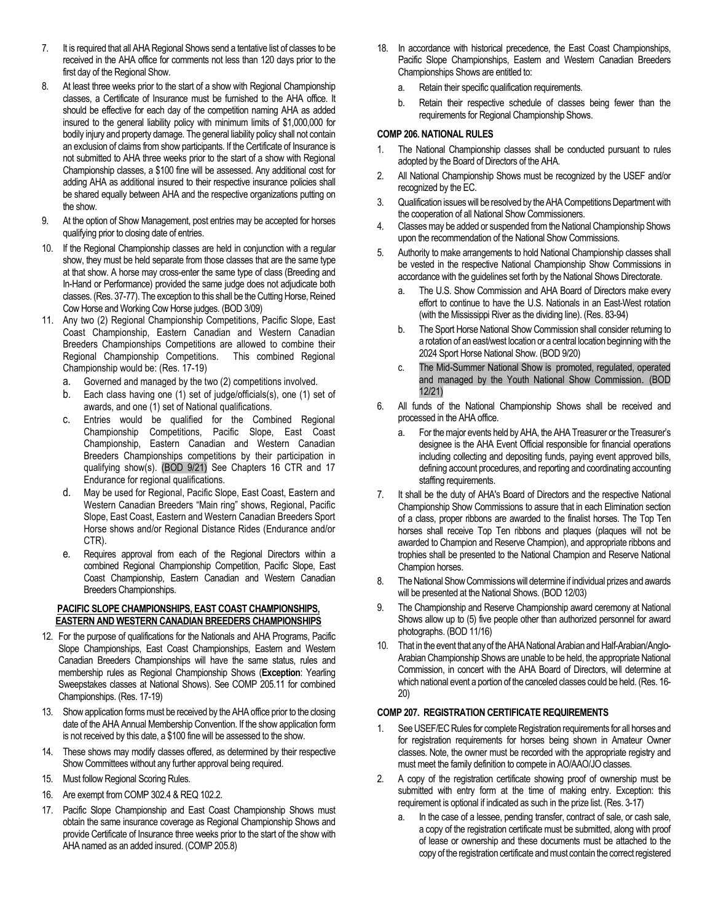- 7. It is required that all AHA Regional Shows send a tentative list of classes to be received in the AHA office for comments not less than 120 days prior to the first day of the Regional Show.
- 8. At least three weeks prior to the start of a show with Regional Championship classes, a Certificate of Insurance must be furnished to the AHA office. It should be effective for each day of the competition naming AHA as added insured to the general liability policy with minimum limits of \$1,000,000 for bodily injury and property damage. The general liability policy shall not contain an exclusion of claims from show participants. If the Certificate of Insurance is not submitted to AHA three weeks prior to the start of a show with Regional Championship classes, a \$100 fine will be assessed. Any additional cost for adding AHA as additional insured to their respective insurance policies shall be shared equally between AHA and the respective organizations putting on the show.
- 9. At the option of Show Management, post entries may be accepted for horses qualifying prior to closing date of entries.
- 10. If the Regional Championship classes are held in conjunction with a regular show, they must be held separate from those classes that are the same type at that show. A horse may cross-enter the same type of class (Breeding and In-Hand or Performance) provided the same judge does not adjudicate both classes. (Res. 37-77). The exception to this shall be the Cutting Horse, Reined Cow Horse and Working Cow Horse judges. (BOD 3/09)
- 11. Any two (2) Regional Championship Competitions, Pacific Slope, East Coast Championship, Eastern Canadian and Western Canadian Breeders Championships Competitions are allowed to combine their Regional Championship Competitions. This combined Regional Championship would be: (Res. 17-19)
	- a. Governed and managed by the two (2) competitions involved.
	- b. Each class having one (1) set of judge/officials(s), one (1) set of awards, and one (1) set of National qualifications.
	- c. Entries would be qualified for the Combined Regional Championship Competitions, Pacific Slope, East Coast Championship, Eastern Canadian and Western Canadian Breeders Championships competitions by their participation in qualifying show(s). (BOD 9/21) See Chapters 16 CTR and 17 Endurance for regional qualifications.
	- d. May be used for Regional, Pacific Slope, East Coast, Eastern and Western Canadian Breeders "Main ring" shows, Regional, Pacific Slope, East Coast, Eastern and Western Canadian Breeders Sport Horse shows and/or Regional Distance Rides (Endurance and/or CTR).
	- e. Requires approval from each of the Regional Directors within a combined Regional Championship Competition, Pacific Slope, East Coast Championship, Eastern Canadian and Western Canadian Breeders Championships.

### **PACIFIC SLOPE CHAMPIONSHIPS, EAST COAST CHAMPIONSHIPS, EASTERN AND WESTERN CANADIAN BREEDERS CHAMPIONSHIPS**

- 12. For the purpose of qualifications for the Nationals and AHA Programs, Pacific Slope Championships, East Coast Championships, Eastern and Western Canadian Breeders Championships will have the same status, rules and membership rules as Regional Championship Shows (**Exception**: Yearling Sweepstakes classes at National Shows). See COMP 205.11 for combined Championships. (Res. 17-19)
- 13. Show application forms must be received by the AHA office prior to the closing date of the AHA Annual Membership Convention. If the show application form is not received by this date, a \$100 fine will be assessed to the show.
- 14. These shows may modify classes offered, as determined by their respective Show Committees without any further approval being required.
- 15. Must follow Regional Scoring Rules.
- 16. Are exempt from COMP 302.4 & REQ 102.2.
- 17. Pacific Slope Championship and East Coast Championship Shows must obtain the same insurance coverage as Regional Championship Shows and provide Certificate of Insurance three weeks prior to the start of the show with AHA named as an added insured. (COMP 205.8)
- 18. In accordance with historical precedence, the East Coast Championships, Pacific Slope Championships, Eastern and Western Canadian Breeders Championships Shows are entitled to:
	- a. Retain their specific qualification requirements.
	- b. Retain their respective schedule of classes being fewer than the requirements for Regional Championship Shows.

### **COMP 206. NATIONAL RULES**

- 1. The National Championship classes shall be conducted pursuant to rules adopted by the Board of Directors of the AHA.
- 2. All National Championship Shows must be recognized by the USEF and/or recognized by the EC.
- 3. Qualification issues will be resolved by the AHA Competitions Department with the cooperation of all National Show Commissioners.
- 4. Classes may be added or suspended from the National Championship Shows upon the recommendation of the National Show Commissions.
- 5. Authority to make arrangements to hold National Championship classes shall be vested in the respective National Championship Show Commissions in accordance with the guidelines set forth by the National Shows Directorate.
	- a. The U.S. Show Commission and AHA Board of Directors make every effort to continue to have the U.S. Nationals in an East-West rotation (with the Mississippi River as the dividing line). (Res. 83-94)
	- b. The Sport Horse National Show Commission shall consider returning to a rotation of an east/west location or a central location beginning with the 2024 Sport Horse National Show. (BOD 9/20)
	- c. The Mid-Summer National Show is promoted, regulated, operated and managed by the Youth National Show Commission. (BOD 12/21)
- 6. All funds of the National Championship Shows shall be received and processed in the AHA office.
	- a. For the major events held by AHA, the AHA Treasurer or the Treasurer's designee is the AHA Event Official responsible for financial operations including collecting and depositing funds, paying event approved bills, defining account procedures, and reporting and coordinating accounting staffing requirements.
- 7. It shall be the duty of AHA's Board of Directors and the respective National Championship Show Commissions to assure that in each Elimination section of a class, proper ribbons are awarded to the finalist horses. The Top Ten horses shall receive Top Ten ribbons and plaques (plaques will not be awarded to Champion and Reserve Champion), and appropriate ribbons and trophies shall be presented to the National Champion and Reserve National Champion horses.
- 8. The National Show Commissions will determine if individual prizes and awards will be presented at the National Shows. (BOD 12/03)
- 9. The Championship and Reserve Championship award ceremony at National Shows allow up to (5) five people other than authorized personnel for award photographs. (BOD 11/16)
- 10. That in the event that any of the AHA National Arabian and Half-Arabian/Anglo-Arabian Championship Shows are unable to be held, the appropriate National Commission, in concert with the AHA Board of Directors, will determine at which national event a portion of the canceled classes could be held. (Res. 16- 20)

### **COMP 207. REGISTRATION CERTIFICATE REQUIREMENTS**

- 1. See USEF/EC Rules for complete Registration requirements for all horses and for registration requirements for horses being shown in Amateur Owner classes. Note, the owner must be recorded with the appropriate registry and must meet the family definition to compete in AO/AAO/JO classes.
- 2. A copy of the registration certificate showing proof of ownership must be submitted with entry form at the time of making entry. Exception: this requirement is optional if indicated as such in the prize list. (Res. 3-17)
	- a. In the case of a lessee, pending transfer, contract of sale, or cash sale, a copy of the registration certificate must be submitted, along with proof of lease or ownership and these documents must be attached to the copy of the registration certificate and must contain the correct registered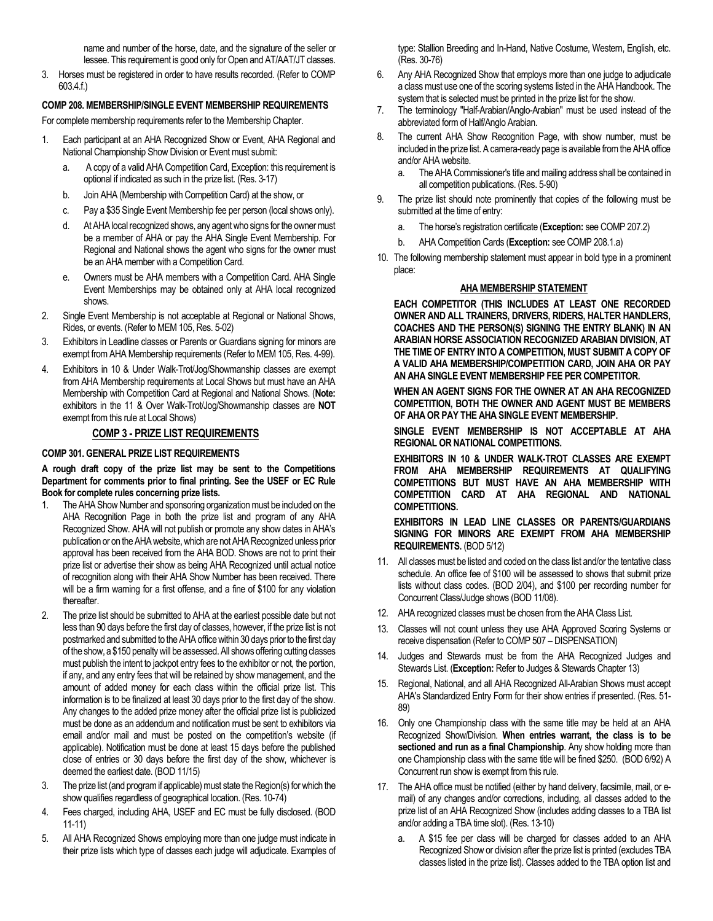name and number of the horse, date, and the signature of the seller or lessee. This requirement is good only for Open and AT/AAT/JT classes.

3. Horses must be registered in order to have results recorded. (Refer to COMP 603.4.f.)

### **COMP 208. MEMBERSHIP/SINGLE EVENT MEMBERSHIP REQUIREMENTS**

For complete membership requirements refer to the Membership Chapter.

- 1. Each participant at an AHA Recognized Show or Event, AHA Regional and National Championship Show Division or Event must submit:
	- a. A copy of a valid AHA Competition Card, Exception: this requirement is optional if indicated as such in the prize list. (Res. 3-17)
	- b. Join AHA (Membership with Competition Card) at the show, or
	- c. Pay a \$35 Single Event Membership fee per person (local shows only).
	- d. At AHA local recognized shows, any agent who signs for the owner must be a member of AHA or pay the AHA Single Event Membership. For Regional and National shows the agent who signs for the owner must be an AHA member with a Competition Card.
	- e. Owners must be AHA members with a Competition Card. AHA Single Event Memberships may be obtained only at AHA local recognized shows.
- 2. Single Event Membership is not acceptable at Regional or National Shows, Rides, or events. (Refer to MEM 105, Res. 5-02)
- 3. Exhibitors in Leadline classes or Parents or Guardians signing for minors are exempt from AHA Membership requirements (Refer to MEM 105, Res. 4-99).
- 4. Exhibitors in 10 & Under Walk-Trot/Jog/Showmanship classes are exempt from AHA Membership requirements at Local Shows but must have an AHA Membership with Competition Card at Regional and National Shows. (**Note:** exhibitors in the 11 & Over Walk-Trot/Jog/Showmanship classes are **NOT** exempt from this rule at Local Shows)

## **COMP 3 - PRIZE LIST REQUIREMENTS**

### **COMP 301. GENERAL PRIZE LIST REQUIREMENTS**

**A rough draft copy of the prize list may be sent to the Competitions Department for comments prior to final printing. See the USEF or EC Rule Book for complete rules concerning prize lists.**

- 1. The AHA Show Number and sponsoring organization must be included on the AHA Recognition Page in both the prize list and program of any AHA Recognized Show. AHA will not publish or promote any show dates in AHA's publication or on the AHA website, which are not AHA Recognized unless prior approval has been received from the AHA BOD. Shows are not to print their prize list or advertise their show as being AHA Recognized until actual notice of recognition along with their AHA Show Number has been received. There will be a firm warning for a first offense, and a fine of \$100 for any violation thereafter.
- 2. The prize list should be submitted to AHA at the earliest possible date but not less than 90 days before the first day of classes, however, if the prize list is not postmarked and submitted to the AHA office within 30 days prior to the first day of the show, a \$150 penalty will be assessed.All shows offering cutting classes must publish the intent to jackpot entry fees to the exhibitor or not, the portion, if any, and any entry fees that will be retained by show management, and the amount of added money for each class within the official prize list. This information is to be finalized at least 30 days prior to the first day of the show. Any changes to the added prize money after the official prize list is publicized must be done as an addendum and notification must be sent to exhibitors via email and/or mail and must be posted on the competition's website (if applicable). Notification must be done at least 15 days before the published close of entries or 30 days before the first day of the show, whichever is deemed the earliest date. (BOD 11/15)
- 3. The prize list (and program if applicable) must state the Region(s) for which the show qualifies regardless of geographical location. (Res. 10-74)
- 4. Fees charged, including AHA, USEF and EC must be fully disclosed. (BOD 11-11)
- 5. All AHA Recognized Shows employing more than one judge must indicate in their prize lists which type of classes each judge will adjudicate. Examples of

type: Stallion Breeding and In-Hand, Native Costume, Western, English, etc. (Res. 30-76)

- 6. Any AHA Recognized Show that employs more than one judge to adjudicate a class must use one of the scoring systems listed in the AHA Handbook. The system that is selected must be printed in the prize list for the show.
- 7. The terminology "Half-Arabian/Anglo-Arabian" must be used instead of the abbreviated form of Half/Anglo Arabian.
- 8. The current AHA Show Recognition Page, with show number, must be included in the prize list. A camera-ready page is available from the AHA office and/or AHA website.
	- a. The AHA Commissioner's title and mailing address shall be contained in all competition publications. (Res. 5-90)
- 9. The prize list should note prominently that copies of the following must be submitted at the time of entry:
	- a. The horse's registration certificate (**Exception:** see COMP 207.2)
	- b. AHA Competition Cards (**Exception:** see COMP 208.1.a)
- 10. The following membership statement must appear in bold type in a prominent place:

### **AHA MEMBERSHIP STATEMENT**

**EACH COMPETITOR (THIS INCLUDES AT LEAST ONE RECORDED OWNER AND ALL TRAINERS, DRIVERS, RIDERS, HALTER HANDLERS, COACHES AND THE PERSON(S) SIGNING THE ENTRY BLANK) IN AN ARABIAN HORSE ASSOCIATION RECOGNIZED ARABIAN DIVISION, AT THE TIME OF ENTRY INTO A COMPETITION, MUST SUBMIT A COPY OF A VALID AHA MEMBERSHIP/COMPETITION CARD, JOIN AHA OR PAY AN AHA SINGLE EVENT MEMBERSHIP FEE PER COMPETITOR.**

**WHEN AN AGENT SIGNS FOR THE OWNER AT AN AHA RECOGNIZED COMPETITION, BOTH THE OWNER AND AGENT MUST BE MEMBERS OF AHA OR PAY THE AHA SINGLE EVENT MEMBERSHIP.**

**SINGLE EVENT MEMBERSHIP IS NOT ACCEPTABLE AT AHA REGIONAL OR NATIONAL COMPETITIONS.**

**EXHIBITORS IN 10 & UNDER WALK-TROT CLASSES ARE EXEMPT FROM AHA MEMBERSHIP REQUIREMENTS AT QUALIFYING COMPETITIONS BUT MUST HAVE AN AHA MEMBERSHIP WITH COMPETITION CARD AT AHA REGIONAL AND NATIONAL COMPETITIONS.**

**EXHIBITORS IN LEAD LINE CLASSES OR PARENTS/GUARDIANS SIGNING FOR MINORS ARE EXEMPT FROM AHA MEMBERSHIP REQUIREMENTS.** (BOD 5/12)

- 11. All classes must be listed and coded on the class list and/or the tentative class schedule. An office fee of \$100 will be assessed to shows that submit prize lists without class codes. (BOD 2/04), and \$100 per recording number for Concurrent Class/Judge shows (BOD 11/08).
- 12. AHA recognized classes must be chosen from the AHA Class List.
- 13. Classes will not count unless they use AHA Approved Scoring Systems or receive dispensation (Refer to COMP 507 – DISPENSATION)
- 14. Judges and Stewards must be from the AHA Recognized Judges and Stewards List. (**Exception:** Refer to Judges & Stewards Chapter 13)
- 15. Regional, National, and all AHA Recognized All-Arabian Shows must accept AHA's Standardized Entry Form for their show entries if presented. (Res. 51- 89)
- 16. Only one Championship class with the same title may be held at an AHA Recognized Show/Division. **When entries warrant, the class is to be sectioned and run as a final Championship**. Any show holding more than one Championship class with the same title will be fined \$250. (BOD 6/92) A Concurrent run show is exempt from this rule.
- 17. The AHA office must be notified (either by hand delivery, facsimile, mail, or email) of any changes and/or corrections, including, all classes added to the prize list of an AHA Recognized Show (includes adding classes to a TBA list and/or adding a TBA time slot). (Res. 13-10)
	- a. A \$15 fee per class will be charged for classes added to an AHA Recognized Show or division after the prize list is printed (excludes TBA classes listed in the prize list). Classes added to the TBA option list and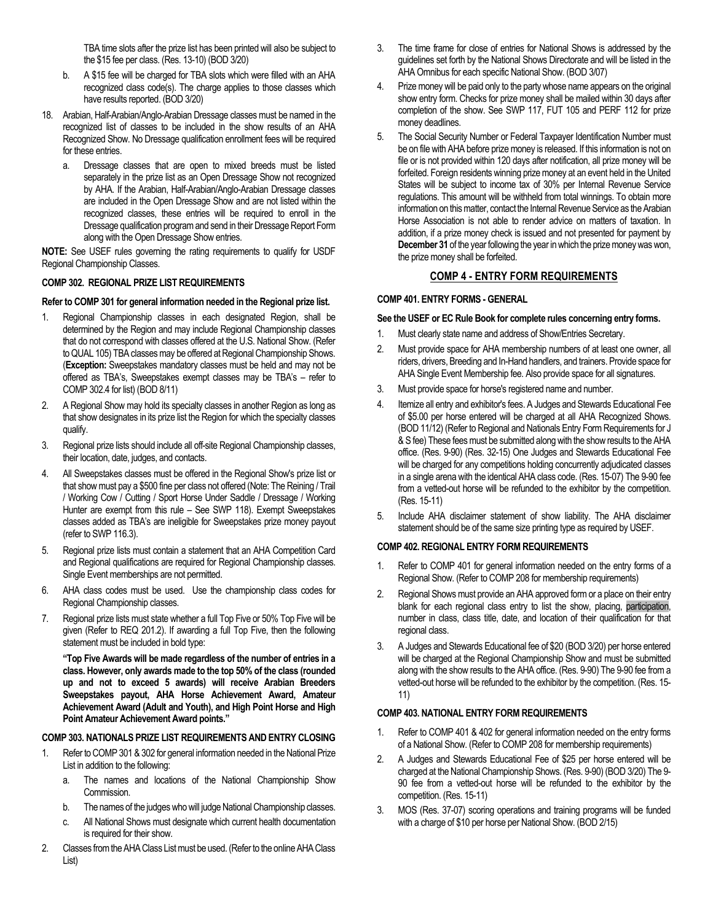TBA time slots after the prize list has been printed will also be subject to the \$15 fee per class. (Res. 13-10) (BOD 3/20)

- b. A \$15 fee will be charged for TBA slots which were filled with an AHA recognized class code(s). The charge applies to those classes which have results reported. (BOD 3/20)
- 18. Arabian, Half-Arabian/Anglo-Arabian Dressage classes must be named in the recognized list of classes to be included in the show results of an AHA Recognized Show. No Dressage qualification enrollment fees will be required for these entries.
	- a. Dressage classes that are open to mixed breeds must be listed separately in the prize list as an Open Dressage Show not recognized by AHA. If the Arabian, Half-Arabian/Anglo-Arabian Dressage classes are included in the Open Dressage Show and are not listed within the recognized classes, these entries will be required to enroll in the Dressage qualification program and send in their Dressage Report Form along with the Open Dressage Show entries.

**NOTE:** See USEF rules governing the rating requirements to qualify for USDF Regional Championship Classes.

### **COMP 302. REGIONAL PRIZE LIST REQUIREMENTS**

### **Refer to COMP 301 for general information needed in the Regional prize list.**

- 1. Regional Championship classes in each designated Region, shall be determined by the Region and may include Regional Championship classes that do not correspond with classes offered at the U.S. National Show. (Refer to QUAL 105) TBA classes may be offered at Regional Championship Shows. (**Exception:** Sweepstakes mandatory classes must be held and may not be offered as TBA's, Sweepstakes exempt classes may be TBA's – refer to COMP 302.4 for list) (BOD 8/11)
- 2. A Regional Show may hold its specialty classes in another Region as long as that show designates in its prize list the Region for which the specialty classes qualify.
- 3. Regional prize lists should include all off-site Regional Championship classes, their location, date, judges, and contacts.
- 4. All Sweepstakes classes must be offered in the Regional Show's prize list or that show must pay a \$500 fine per class not offered (Note: The Reining / Trail / Working Cow / Cutting / Sport Horse Under Saddle / Dressage / Working Hunter are exempt from this rule – See SWP 118). Exempt Sweepstakes classes added as TBA's are ineligible for Sweepstakes prize money payout (refer to SWP 116.3).
- 5. Regional prize lists must contain a statement that an AHA Competition Card and Regional qualifications are required for Regional Championship classes. Single Event memberships are not permitted.
- 6. AHA class codes must be used. Use the championship class codes for Regional Championship classes.
- 7. Regional prize lists must state whether a full Top Five or 50% Top Five will be given (Refer to REQ 201.2). If awarding a full Top Five, then the following statement must be included in bold type:

**"Top Five Awards will be made regardless of the number of entries in a class. However, only awards made to the top 50% of the class (rounded up and not to exceed 5 awards) will receive Arabian Breeders Sweepstakes payout, AHA Horse Achievement Award, Amateur Achievement Award (Adult and Youth), and High Point Horse and High Point Amateur Achievement Award points."** 

## **COMP 303. NATIONALS PRIZE LIST REQUIREMENTS AND ENTRY CLOSING**

- 1. Refer to COMP 301 & 302 for general information needed in the National Prize List in addition to the following:
	- a. The names and locations of the National Championship Show Commission.
	- b. The names of the judges who will judge National Championship classes.
	- c. All National Shows must designate which current health documentation is required for their show.
- 2. Classes from the AHA Class List must be used. (Refer to the online AHA Class List)
- 3. The time frame for close of entries for National Shows is addressed by the guidelines set forth by the National Shows Directorate and will be listed in the AHA Omnibus for each specific National Show. (BOD 3/07)
- 4. Prize money will be paid only to the party whose name appears on the original show entry form. Checks for prize money shall be mailed within 30 days after completion of the show. See SWP 117, FUT 105 and PERF 112 for prize money deadlines.
- 5. The Social Security Number or Federal Taxpayer Identification Number must be on file with AHA before prize money is released. If this information is not on file or is not provided within 120 days after notification, all prize money will be forfeited. Foreign residents winning prize money at an event held in the United States will be subject to income tax of 30% per Internal Revenue Service regulations. This amount will be withheld from total winnings. To obtain more information on this matter, contact the Internal Revenue Service as the Arabian Horse Association is not able to render advice on matters of taxation. In addition, if a prize money check is issued and not presented for payment by **December 31** of the year following the year in which the prize money was won, the prize money shall be forfeited.

# **COMP 4 - ENTRY FORM REQUIREMENTS**

# **COMP 401. ENTRY FORMS - GENERAL**

# **See the USEF or EC Rule Book for complete rules concerning entry forms.**

- 1. Must clearly state name and address of Show/Entries Secretary.
- 2. Must provide space for AHA membership numbers of at least one owner, all riders, drivers, Breeding and In-Hand handlers, and trainers. Provide space for AHA Single Event Membership fee. Also provide space for all signatures.
- 3. Must provide space for horse's registered name and number.
- 4. Itemize all entry and exhibitor's fees. A Judges and Stewards Educational Fee of \$5.00 per horse entered will be charged at all AHA Recognized Shows. (BOD 11/12) (Refer to Regional and Nationals Entry Form Requirements for J & S fee) These fees must be submitted along with the show results to the AHA office. (Res. 9-90) (Res. 32-15) One Judges and Stewards Educational Fee will be charged for any competitions holding concurrently adjudicated classes in a single arena with the identical AHA class code. (Res. 15-07) The 9-90 fee from a vetted-out horse will be refunded to the exhibitor by the competition. (Res. 15-11)
- 5. Include AHA disclaimer statement of show liability. The AHA disclaimer statement should be of the same size printing type as required by USEF.

# **COMP 402. REGIONAL ENTRY FORM REQUIREMENTS**

- 1. Refer to COMP 401 for general information needed on the entry forms of a Regional Show. (Refer to COMP 208 for membership requirements)
- 2. Regional Shows must provide an AHA approved form or a place on their entry blank for each regional class entry to list the show, placing, participation, number in class, class title, date, and location of their qualification for that regional class.
- 3. A Judges and Stewards Educational fee of \$20 (BOD 3/20) per horse entered will be charged at the Regional Championship Show and must be submitted along with the show results to the AHA office. (Res. 9-90) The 9-90 fee from a vetted-out horse will be refunded to the exhibitor by the competition. (Res. 15- 11)

# **COMP 403. NATIONAL ENTRY FORM REQUIREMENTS**

- 1. Refer to COMP 401 & 402 for general information needed on the entry forms of a National Show. (Refer to COMP 208 for membership requirements)
- 2. A Judges and Stewards Educational Fee of \$25 per horse entered will be charged at the National Championship Shows. (Res. 9-90) (BOD 3/20) The 9- 90 fee from a vetted-out horse will be refunded to the exhibitor by the competition. (Res. 15-11)
- 3. MOS (Res. 37-07) scoring operations and training programs will be funded with a charge of \$10 per horse per National Show. (BOD 2/15)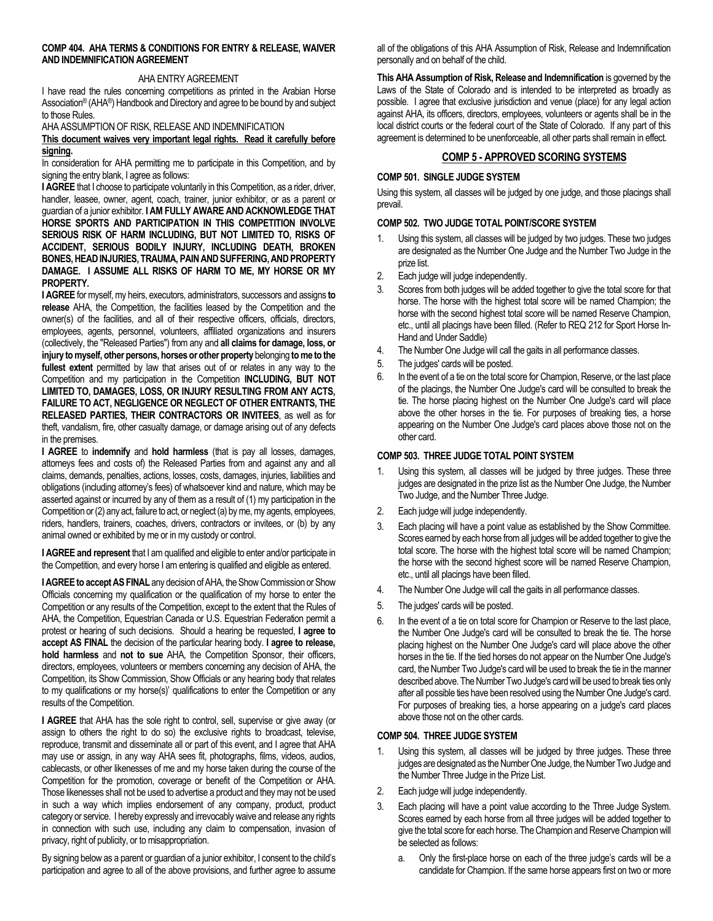### **COMP 404. AHA TERMS & CONDITIONS FOR ENTRY & RELEASE, WAIVER AND INDEMNIFICATION AGREEMENT**

### AHA ENTRY AGREEMENT

I have read the rules concerning competitions as printed in the Arabian Horse Association® (AHA®) Handbook and Directory and agree to be bound by and subject to those Rules.

### AHA ASSUMPTION OF RISK, RELEASE AND INDEMNIFICATION

### **This document waives very important legal rights. Read it carefully before signing.**

In consideration for AHA permitting me to participate in this Competition, and by signing the entry blank, I agree as follows:

**I AGREE** that I choose to participate voluntarily in this Competition, as a rider, driver, handler, leasee, owner, agent, coach, trainer, junior exhibitor, or as a parent or guardian of a junior exhibitor. **I AM FULLY AWARE AND ACKNOWLEDGE THAT HORSE SPORTS AND PARTICIPATION IN THIS COMPETITION INVOLVE SERIOUS RISK OF HARM INCLUDING, BUT NOT LIMITED TO, RISKS OF ACCIDENT, SERIOUS BODILY INJURY, INCLUDING DEATH, BROKEN BONES, HEAD INJURIES, TRAUMA, PAIN AND SUFFERING, AND PROPERTY DAMAGE. I ASSUME ALL RISKS OF HARM TO ME, MY HORSE OR MY PROPERTY.**

**I AGREE** for myself, my heirs, executors, administrators, successors and assigns **to release** AHA, the Competition, the facilities leased by the Competition and the owner(s) of the facilities, and all of their respective officers, officials, directors, employees, agents, personnel, volunteers, affiliated organizations and insurers (collectively, the "Released Parties") from any and **all claims for damage, loss, or injury to myself, other persons, horses or other property** belonging **to me to the fullest extent** permitted by law that arises out of or relates in any way to the Competition and my participation in the Competition **INCLUDING, BUT NOT LIMITED TO, DAMAGES, LOSS, OR INJURY RESULTING FROM ANY ACTS, FAILURE TO ACT, NEGLIGENCE OR NEGLECT OF OTHER ENTRANTS, THE RELEASED PARTIES, THEIR CONTRACTORS OR INVITEES**, as well as for theft, vandalism, fire, other casualty damage, or damage arising out of any defects in the premises.

**I AGREE** to **indemnify** and **hold harmless** (that is pay all losses, damages, attorneys fees and costs of) the Released Parties from and against any and all claims, demands, penalties, actions, losses, costs, damages, injuries, liabilities and obligations (including attorney's fees) of whatsoever kind and nature, which may be asserted against or incurred by any of them as a result of (1) my participation in the Competition or (2) any act, failure to act, or neglect (a) by me, my agents, employees, riders, handlers, trainers, coaches, drivers, contractors or invitees, or (b) by any animal owned or exhibited by me or in my custody or control.

**I AGREE and represent** that I am qualified and eligible to enter and/or participate in the Competition, and every horse I am entering is qualified and eligible as entered.

**I AGREE to accept AS FINAL** any decision of AHA, the Show Commission or Show Officials concerning my qualification or the qualification of my horse to enter the Competition or any results of the Competition, except to the extent that the Rules of AHA, the Competition, Equestrian Canada or U.S. Equestrian Federation permit a protest or hearing of such decisions. Should a hearing be requested, **I agree to accept AS FINAL** the decision of the particular hearing body. **I agree to release, hold harmless** and **not to sue** AHA, the Competition Sponsor, their officers, directors, employees, volunteers or members concerning any decision of AHA, the Competition, its Show Commission, Show Officials or any hearing body that relates to my qualifications or my horse(s)' qualifications to enter the Competition or any results of the Competition.

**I AGREE** that AHA has the sole right to control, sell, supervise or give away (or assign to others the right to do so) the exclusive rights to broadcast, televise, reproduce, transmit and disseminate all or part of this event, and I agree that AHA may use or assign, in any way AHA sees fit, photographs, films, videos, audios, cablecasts, or other likenesses of me and my horse taken during the course of the Competition for the promotion, coverage or benefit of the Competition or AHA. Those likenesses shall not be used to advertise a product and they may not be used in such a way which implies endorsement of any company, product, product category or service. I hereby expressly and irrevocably waive and release any rights in connection with such use, including any claim to compensation, invasion of privacy, right of publicity, or to misappropriation.

By signing below as a parent or guardian of a junior exhibitor, I consent to the child's participation and agree to all of the above provisions, and further agree to assume

all of the obligations of this AHA Assumption of Risk, Release and Indemnification personally and on behalf of the child.

**This AHA Assumption of Risk, Release and Indemnification** is governed by the Laws of the State of Colorado and is intended to be interpreted as broadly as possible. I agree that exclusive jurisdiction and venue (place) for any legal action against AHA, its officers, directors, employees, volunteers or agents shall be in the local district courts or the federal court of the State of Colorado. If any part of this agreement is determined to be unenforceable, all other parts shall remain in effect.

# **COMP 5 - APPROVED SCORING SYSTEMS**

## **COMP 501. SINGLE JUDGE SYSTEM**

Using this system, all classes will be judged by one judge, and those placings shall prevail.

### **COMP 502. TWO JUDGE TOTAL POINT/SCORE SYSTEM**

- Using this system, all classes will be judged by two judges. These two judges are designated as the Number One Judge and the Number Two Judge in the prize list.
- 2. Each judge will judge independently.
- 3. Scores from both judges will be added together to give the total score for that horse. The horse with the highest total score will be named Champion; the horse with the second highest total score will be named Reserve Champion, etc., until all placings have been filled. (Refer to REQ 212 for Sport Horse In-Hand and Under Saddle)
- 4. The Number One Judge will call the gaits in all performance classes.
- 5. The judges' cards will be posted.
- 6. In the event of a tie on the total score for Champion, Reserve, or the last place of the placings, the Number One Judge's card will be consulted to break the tie. The horse placing highest on the Number One Judge's card will place above the other horses in the tie. For purposes of breaking ties, a horse appearing on the Number One Judge's card places above those not on the other card.

### **COMP 503. THREE JUDGE TOTAL POINT SYSTEM**

- 1. Using this system, all classes will be judged by three judges. These three judges are designated in the prize list as the Number One Judge, the Number Two Judge, and the Number Three Judge.
- 2. Each judge will judge independently.
- 3. Each placing will have a point value as established by the Show Committee. Scores earned by each horse from all judges will be added together to give the total score. The horse with the highest total score will be named Champion; the horse with the second highest score will be named Reserve Champion, etc., until all placings have been filled.
- 4. The Number One Judge will call the gaits in all performance classes.
- 5. The judges' cards will be posted.
- 6. In the event of a tie on total score for Champion or Reserve to the last place, the Number One Judge's card will be consulted to break the tie. The horse placing highest on the Number One Judge's card will place above the other horses in the tie. If the tied horses do not appear on the Number One Judge's card, the Number Two Judge's card will be used to break the tie in the manner described above. The Number Two Judge's card will be used to break ties only after all possible ties have been resolved using the Number One Judge's card. For purposes of breaking ties, a horse appearing on a judge's card places above those not on the other cards.

### **COMP 504. THREE JUDGE SYSTEM**

- Using this system, all classes will be judged by three judges. These three judges are designated as the Number One Judge, the Number Two Judge and the Number Three Judge in the Prize List.
- 2. Each judge will judge independently.
- 3. Each placing will have a point value according to the Three Judge System. Scores earned by each horse from all three judges will be added together to give the total score for each horse. The Champion and Reserve Champion will be selected as follows:
	- a. Only the first-place horse on each of the three judge's cards will be a candidate for Champion. If the same horse appears first on two or more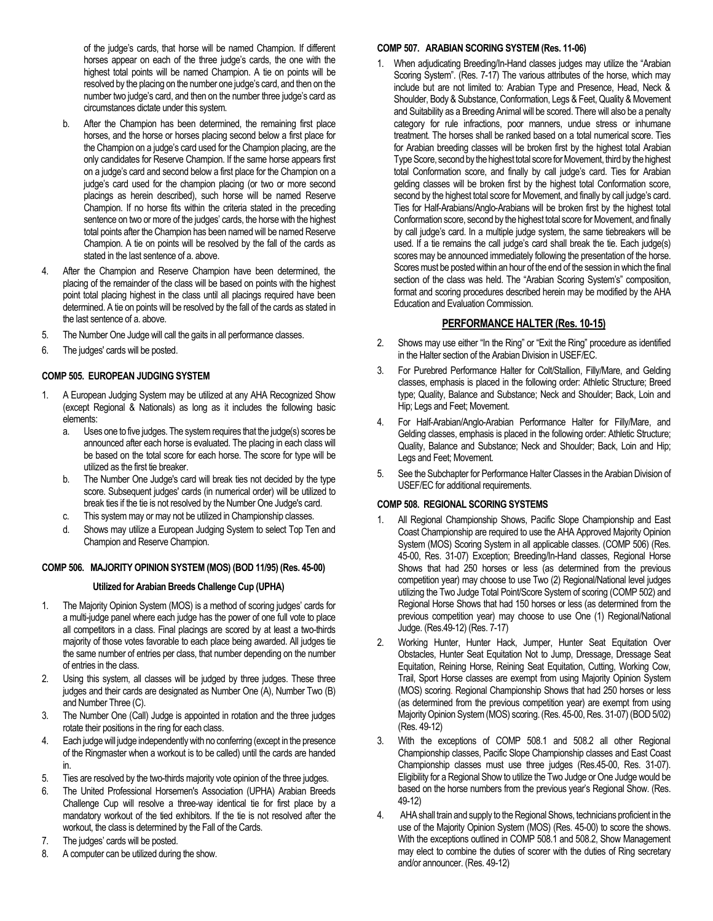of the judge's cards, that horse will be named Champion. If different horses appear on each of the three judge's cards, the one with the highest total points will be named Champion. A tie on points will be resolved by the placing on the number one judge's card, and then on the number two judge's card, and then on the number three judge's card as circumstances dictate under this system.

- b. After the Champion has been determined, the remaining first place horses, and the horse or horses placing second below a first place for the Champion on a judge's card used for the Champion placing, are the only candidates for Reserve Champion. If the same horse appears first on a judge's card and second below a first place for the Champion on a judge's card used for the champion placing (or two or more second placings as herein described), such horse will be named Reserve Champion. If no horse fits within the criteria stated in the preceding sentence on two or more of the judges' cards, the horse with the highest total points after the Champion has been named will be named Reserve Champion. A tie on points will be resolved by the fall of the cards as stated in the last sentence of a. above.
- 4. After the Champion and Reserve Champion have been determined, the placing of the remainder of the class will be based on points with the highest point total placing highest in the class until all placings required have been determined. A tie on points will be resolved by the fall of the cards as stated in the last sentence of a. above.
- 5. The Number One Judge will call the gaits in all performance classes.
- 6. The judges' cards will be posted.

### **COMP 505. EUROPEAN JUDGING SYSTEM**

- 1. A European Judging System may be utilized at any AHA Recognized Show (except Regional & Nationals) as long as it includes the following basic elements:
	- a. Uses one to five judges. The system requires that the judge(s) scores be announced after each horse is evaluated. The placing in each class will be based on the total score for each horse. The score for type will be utilized as the first tie breaker.
	- b. The Number One Judge's card will break ties not decided by the type score. Subsequent judges' cards (in numerical order) will be utilized to break ties if the tie is not resolved by the Number One Judge's card.
	- c. This system may or may not be utilized in Championship classes.
	- d. Shows may utilize a European Judging System to select Top Ten and Champion and Reserve Champion.

### **COMP 506. MAJORITY OPINION SYSTEM (MOS) (BOD 11/95) (Res. 45-00)**

### **Utilized for Arabian Breeds Challenge Cup (UPHA)**

- 1. The Majority Opinion System (MOS) is a method of scoring judges' cards for a multi-judge panel where each judge has the power of one full vote to place all competitors in a class. Final placings are scored by at least a two-thirds majority of those votes favorable to each place being awarded. All judges tie the same number of entries per class, that number depending on the number of entries in the class.
- 2. Using this system, all classes will be judged by three judges. These three judges and their cards are designated as Number One (A), Number Two (B) and Number Three (C).
- 3. The Number One (Call) Judge is appointed in rotation and the three judges rotate their positions in the ring for each class.
- 4. Each judge will judge independently with no conferring (except in the presence of the Ringmaster when a workout is to be called) until the cards are handed in.
- 5. Ties are resolved by the two-thirds majority vote opinion of the three judges.
- 6. The United Professional Horsemen's Association (UPHA) Arabian Breeds Challenge Cup will resolve a three-way identical tie for first place by a mandatory workout of the tied exhibitors. If the tie is not resolved after the workout, the class is determined by the Fall of the Cards.
- 7. The judges' cards will be posted.
- 8. A computer can be utilized during the show.

# **COMP 507. ARABIAN SCORING SYSTEM (Res. 11-06)**

1. When adjudicating Breeding/In-Hand classes judges may utilize the "Arabian Scoring System". (Res. 7-17) The various attributes of the horse, which may include but are not limited to: Arabian Type and Presence, Head, Neck & Shoulder, Body & Substance, Conformation, Legs & Feet, Quality & Movement and Suitability as a Breeding Animal will be scored. There will also be a penalty category for rule infractions, poor manners, undue stress or inhumane treatment. The horses shall be ranked based on a total numerical score. Ties for Arabian breeding classes will be broken first by the highest total Arabian Type Score, second by the highest total score for Movement, third by the highest total Conformation score, and finally by call judge's card. Ties for Arabian gelding classes will be broken first by the highest total Conformation score, second by the highest total score for Movement, and finally by call judge's card. Ties for Half-Arabians/Anglo-Arabians will be broken first by the highest total Conformation score, second by the highest total score for Movement, and finally by call judge's card. In a multiple judge system, the same tiebreakers will be used. If a tie remains the call judge's card shall break the tie. Each judge(s) scores may be announced immediately following the presentation of the horse. Scores must be posted within an hour of the end of the session in which the final section of the class was held. The "Arabian Scoring System's" composition, format and scoring procedures described herein may be modified by the AHA Education and Evaluation Commission.

# **PERFORMANCE HALTER (Res. 10-15)**

- 2. Shows may use either "In the Ring" or "Exit the Ring" procedure as identified in the Halter section of the Arabian Division in USEF/EC.
- 3. For Purebred Performance Halter for Colt/Stallion, Filly/Mare, and Gelding classes, emphasis is placed in the following order: Athletic Structure; Breed type; Quality, Balance and Substance; Neck and Shoulder; Back, Loin and Hip; Legs and Feet; Movement.
- 4. For Half-Arabian/Anglo-Arabian Performance Halter for Filly/Mare, and Gelding classes, emphasis is placed in the following order: Athletic Structure; Quality, Balance and Substance; Neck and Shoulder; Back, Loin and Hip; Legs and Feet; Movement.
- 5. See the Subchapter for Performance Halter Classes in the Arabian Division of USEF/EC for additional requirements.

# **COMP 508. REGIONAL SCORING SYSTEMS**

- All Regional Championship Shows, Pacific Slope Championship and East Coast Championship are required to use the AHA Approved Majority Opinion System (MOS) Scoring System in all applicable classes. (COMP 506) (Res. 45-00, Res. 31-07) Exception; Breeding/In-Hand classes, Regional Horse Shows that had 250 horses or less (as determined from the previous competition year) may choose to use Two (2) Regional/National level judges utilizing the Two Judge Total Point/Score System of scoring (COMP 502) and Regional Horse Shows that had 150 horses or less (as determined from the previous competition year) may choose to use One (1) Regional/National Judge. (Res.49-12) (Res. 7-17)
- 2. Working Hunter, Hunter Hack, Jumper, Hunter Seat Equitation Over Obstacles, Hunter Seat Equitation Not to Jump, Dressage, Dressage Seat Equitation, Reining Horse, Reining Seat Equitation, Cutting, Working Cow, Trail, Sport Horse classes are exempt from using Majority Opinion System (MOS) scoring. Regional Championship Shows that had 250 horses or less (as determined from the previous competition year) are exempt from using Majority Opinion System (MOS) scoring. (Res. 45-00, Res. 31-07) (BOD 5/02) (Res. 49-12)
- 3. With the exceptions of COMP 508.1 and 508.2 all other Regional Championship classes, Pacific Slope Championship classes and East Coast Championship classes must use three judges (Res.45-00, Res. 31-07). Eligibility for a Regional Show to utilize the Two Judge or One Judge would be based on the horse numbers from the previous year's Regional Show. (Res. 49-12)
- 4. AHA shall train and supply to the Regional Shows, technicians proficient in the use of the Majority Opinion System (MOS) (Res. 45-00) to score the shows. With the exceptions outlined in COMP 508.1 and 508.2, Show Management may elect to combine the duties of scorer with the duties of Ring secretary and/or announcer. (Res. 49-12)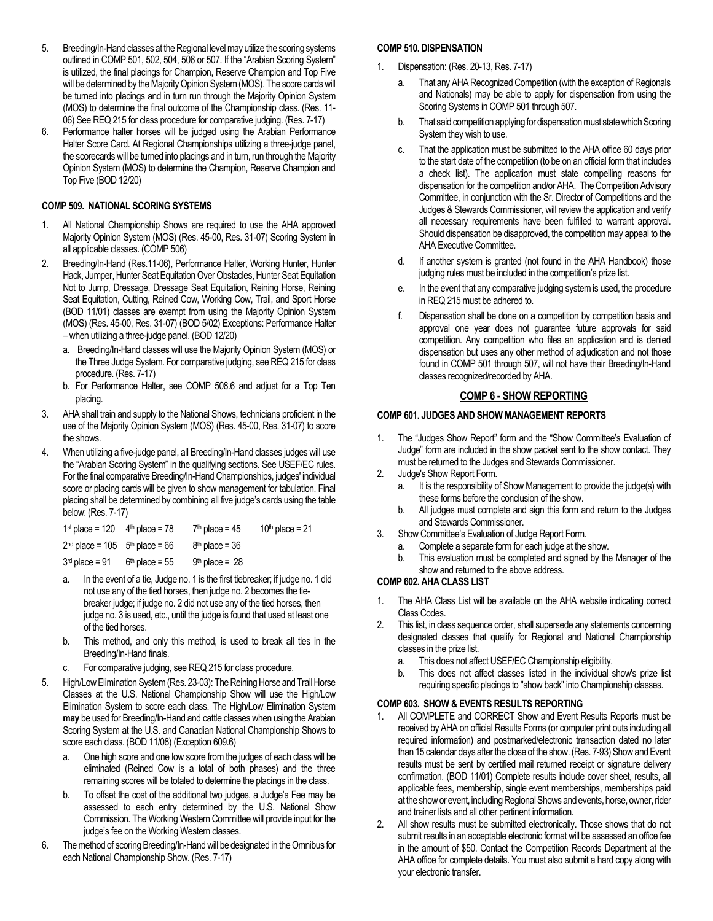- 5. Breeding/In-Hand classes at the Regional level may utilize the scoring systems outlined in COMP 501, 502, 504, 506 or 507. If the "Arabian Scoring System" is utilized, the final placings for Champion, Reserve Champion and Top Five will be determined by the Majority Opinion System (MOS). The score cards will be turned into placings and in turn run through the Majority Opinion System (MOS) to determine the final outcome of the Championship class. (Res. 11- 06) See REQ 215 for class procedure for comparative judging. (Res. 7-17)
- 6. Performance halter horses will be judged using the Arabian Performance Halter Score Card. At Regional Championships utilizing a three-judge panel, the scorecards will be turned into placings and in turn, run through the Majority Opinion System (MOS) to determine the Champion, Reserve Champion and Top Five (BOD 12/20)

### **COMP 509. NATIONAL SCORING SYSTEMS**

- 1. All National Championship Shows are required to use the AHA approved Majority Opinion System (MOS) (Res. 45-00, Res. 31-07) Scoring System in all applicable classes. (COMP 506)
- 2. Breeding/In-Hand (Res.11-06), Performance Halter, Working Hunter, Hunter Hack, Jumper, Hunter Seat Equitation Over Obstacles, Hunter Seat Equitation Not to Jump, Dressage, Dressage Seat Equitation, Reining Horse, Reining Seat Equitation, Cutting, Reined Cow, Working Cow, Trail, and Sport Horse (BOD 11/01) classes are exempt from using the Majority Opinion System (MOS) (Res. 45-00, Res. 31-07) (BOD 5/02) Exceptions: Performance Halter – when utilizing a three-judge panel. (BOD 12/20)
	- a. Breeding/In-Hand classes will use the Majority Opinion System (MOS) or the Three Judge System. For comparative judging, seeREQ 215 for class procedure. (Res. 7-17)
	- b. For Performance Halter, see COMP 508.6 and adjust for a Top Ten placing.
- 3. AHA shall train and supply to the National Shows, technicians proficient in the use of the Majority Opinion System (MOS) (Res. 45-00, Res. 31-07) to score the shows.
- 4. When utilizing a five-judge panel, all Breeding/In-Hand classes judges will use the "Arabian Scoring System" in the qualifying sections. See USEF/EC rules. For the final comparative Breeding/In-Hand Championships, judges' individual score or placing cards will be given to show management for tabulation. Final placing shall be determined by combining all five judge's cards using the table below: (Res. 7-17)

| 1st place = 120 $4th$ place = 78   |                  | $7th$ place = 45 | $10th$ place = 21 |
|------------------------------------|------------------|------------------|-------------------|
| $2nd$ place = 105 $5th$ place = 66 |                  | $8th$ place = 36 |                   |
| 3 <sup>rd</sup> place = 91         | $6th$ place = 55 | $9th$ place = 28 |                   |

- a. In the event of a tie, Judge no. 1 is the first tiebreaker; if judge no. 1 did not use any of the tied horses, then judge no. 2 becomes the tiebreaker judge; if judge no. 2 did not use any of the tied horses, then judge no. 3 is used, etc., until the judge is found that used at least one of the tied horses.
- b. This method, and only this method, is used to break all ties in the Breeding/In-Hand finals.
- For comparative judging, see REQ 215 for class procedure.
- 5. High/Low Elimination System (Res. 23-03): The Reining Horse and Trail Horse Classes at the U.S. National Championship Show will use the High/Low Elimination System to score each class. The High/Low Elimination System **may** be used for Breeding/In-Hand and cattle classes when using the Arabian Scoring System at the U.S. and Canadian National Championship Shows to score each class. (BOD 11/08) (Exception 609.6)
	- a. One high score and one low score from the judges of each class will be eliminated (Reined Cow is a total of both phases) and the three remaining scores will be totaled to determine the placings in the class.
	- b. To offset the cost of the additional two judges, a Judge's Fee may be assessed to each entry determined by the U.S. National Show Commission. The Working Western Committee will provide input for the judge's fee on the Working Western classes.
- 6. The method of scoring Breeding/In-Hand will be designated in the Omnibus for each National Championship Show. (Res. 7-17)

## **COMP 510. DISPENSATION**

- 1. Dispensation: (Res. 20-13, Res. 7-17)
	- a. That any AHA Recognized Competition (with the exception of Regionals and Nationals) may be able to apply for dispensation from using the Scoring Systems in COMP 501 through 507.
	- b. That said competition applying for dispensation must state which Scoring System they wish to use.
	- c. That the application must be submitted to the AHA office 60 days prior to the start date of the competition (to be on an official form that includes a check list). The application must state compelling reasons for dispensation for the competition and/or AHA. The Competition Advisory Committee, in conjunction with the Sr. Director of Competitions and the Judges & Stewards Commissioner, will review the application and verify all necessary requirements have been fulfilled to warrant approval. Should dispensation be disapproved, the competition may appeal to the AHA Executive Committee.
	- d. If another system is granted (not found in the AHA Handbook) those judging rules must be included in the competition's prize list.
	- e. In the event that any comparative judging system is used, the procedure in REQ 215 must be adhered to.
	- f. Dispensation shall be done on a competition by competition basis and approval one year does not guarantee future approvals for said competition. Any competition who files an application and is denied dispensation but uses any other method of adjudication and not those found in COMP 501 through 507, will not have their Breeding/In-Hand classes recognized/recorded by AHA.

## **COMP 6 - SHOW REPORTING**

## **COMP 601. JUDGES AND SHOW MANAGEMENT REPORTS**

- 1. The "Judges Show Report" form and the "Show Committee's Evaluation of Judge" form are included in the show packet sent to the show contact. They must be returned to the Judges and Stewards Commissioner.
- 2. Judge's Show Report Form.
	- a. It is the responsibility of Show Management to provide the judge(s) with these forms before the conclusion of the show.
	- b. All judges must complete and sign this form and return to the Judges and Stewards Commissioner.
- 3. Show Committee's Evaluation of Judge Report Form.
	- a. Complete a separate form for each judge at the show.
	- This evaluation must be completed and signed by the Manager of the show and returned to the above address.

## **COMP 602. AHA CLASS LIST**

- 1. The AHA Class List will be available on the AHA website indicating correct Class Codes.
- 2. This list, in class sequence order, shall supersede any statements concerning designated classes that qualify for Regional and National Championship classes in the prize list.
	- a. This does not affect USEF/EC Championship eligibility.
	- b. This does not affect classes listed in the individual show's prize list requiring specific placings to "show back" into Championship classes.

## **COMP 603. SHOW & EVENTS RESULTS REPORTING**

- 1. All COMPLETE and CORRECT Show and Event Results Reports must be received by AHA on official Results Forms (or computer print outs including all required information) and postmarked/electronic transaction dated no later than 15 calendar days after the close of the show. (Res. 7-93) Show and Event results must be sent by certified mail returned receipt or signature delivery confirmation. (BOD 11/01) Complete results include cover sheet, results, all applicable fees, membership, single event memberships, memberships paid at the show or event, including Regional Shows and events, horse, owner, rider and trainer lists and all other pertinent information.
- 2. All show results must be submitted electronically. Those shows that do not submit results in an acceptable electronic format will be assessed an office fee in the amount of \$50. Contact the Competition Records Department at the AHA office for complete details. You must also submit a hard copy along with your electronic transfer.